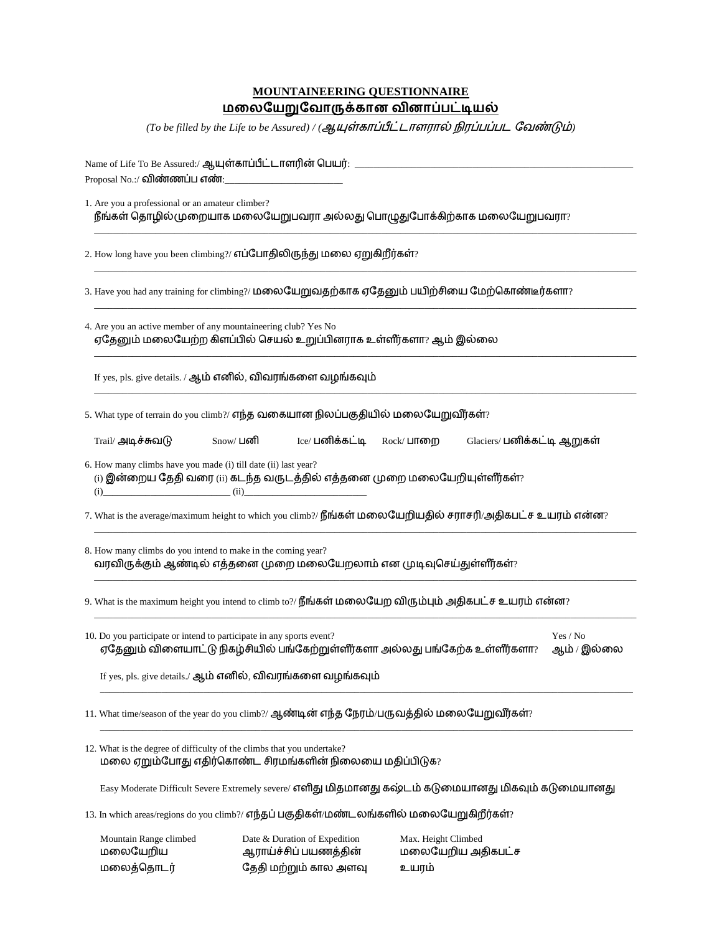# **MOUNTAINEERING QUESTIONNAIRE** <u>மலையேறுவோருக்கான வினாப்பட்டியல்</u>

*(To be filled by the Life to be Assured)* / (ஆயுள்காப்பீட்டாளரால் நிரப்பப்பட வேண்டும்)

| Name of Life To Be Assured:/ ஆயுள்காப்பீட்டாளரின் பெயர்: _                                                                                                                                                                                                                                                                                                                                    |                  |                                                                                 |                              |                             |                         |  |  |
|-----------------------------------------------------------------------------------------------------------------------------------------------------------------------------------------------------------------------------------------------------------------------------------------------------------------------------------------------------------------------------------------------|------------------|---------------------------------------------------------------------------------|------------------------------|-----------------------------|-------------------------|--|--|
| Proposal No.:/ விண்ணப்ப எண்:<br>1. Are you a professional or an amateur climber?<br>நீங்கள் தொழில்முறையாக மலையேறுபவரா அல்லது பொழுதுபோக்கிற்காக மலையேறுபவரா?                                                                                                                                                                                                                                   |                  |                                                                                 |                              |                             |                         |  |  |
| 2. How long have you been climbing?/ எப்போதிலிருந்து மலை ஏறுகிறீர்கள்?                                                                                                                                                                                                                                                                                                                        |                  |                                                                                 |                              |                             |                         |  |  |
| 3. Have you had any training for climbing?/ மலையேறுவதற்காக ஏதேனும் பயிற்சியை மேற்கொண்டீர்களா?                                                                                                                                                                                                                                                                                                 |                  |                                                                                 |                              |                             |                         |  |  |
| 4. Are you an active member of any mountaineering club? Yes No<br>ஏதேனும் மலையேற்ற கிளப்பில் செயல் உறுப்பினராக உள்ளீர்களா? ஆம் இல்லை                                                                                                                                                                                                                                                          |                  |                                                                                 |                              |                             |                         |  |  |
| If yes, pls. give details. / ஆம் எனில், விவரங்களை வழங்கவும்                                                                                                                                                                                                                                                                                                                                   |                  |                                                                                 |                              |                             |                         |  |  |
| 5. What type of terrain do you climb?/ எந்த வகையான நிலப்பகுதியில் மலையேறுவீர்கள்?                                                                                                                                                                                                                                                                                                             |                  |                                                                                 |                              |                             |                         |  |  |
| Trail/ அடிச்சுவடு                                                                                                                                                                                                                                                                                                                                                                             | Snow∕ <b>பனி</b> | Ice/ பனிக்கட்டி                                                                 | Rock/ பாறை                   | Glaciers/ பனிக்கட்டி ஆறுகள் |                         |  |  |
| 6. How many climbs have you made (i) till date (ii) last year?<br>$\left($ i) இன்றைய தேதி வரை $\left($ ii) கடந்த வருடத்தில் எத்தனை முறை மலையேறியுள்ளீர்கள்?<br>$(i)$ (i) (ii) (ii) (ii) (iii) (iii) (iii) (iii) (iii) (iii) (iii) (iii) (iii) (iii) (iii) (iii) (iii) (iii) (iii) (iii) (iii) (iii) (iii) (iii) (iii) (iii) (iii) (iii) (iii) (iii) (iii) (iii) (iii) (iii) (iii) (iii) (iii) |                  |                                                                                 |                              |                             |                         |  |  |
| 7. What is the average/maximum height to which you climb?/ நீங்கள் மலையேறியதில் சராசரி/அதிகபட்ச உயரம் என்ன?                                                                                                                                                                                                                                                                                   |                  |                                                                                 |                              |                             |                         |  |  |
| 8. How many climbs do you intend to make in the coming year?<br>வரவிருக்கும் ஆண்டில் எத்தனை முறை மலையேறலாம் என முடிவுசெய்துள்ளீர்கள்?                                                                                                                                                                                                                                                         |                  |                                                                                 |                              |                             |                         |  |  |
| 9. What is the maximum height you intend to climb to?/ நீங்கள் மலையேற விரும்பும் அதிகபட்ச உயரம் என்ன?                                                                                                                                                                                                                                                                                         |                  |                                                                                 |                              |                             |                         |  |  |
| 10. Do you participate or intend to participate in any sports event?<br>ஏதேனும் விளையாட்டு நிகழ்சியில் பங்கேற்றுள்ளீர்களா அல்லது பங்கேற்க உள்ளீர்களா?                                                                                                                                                                                                                                         |                  |                                                                                 |                              |                             | Yes / No<br>ஆம் / இல்லை |  |  |
| If yes, pls. give details./ ஆம் எனில், விவரங்களை வழங்கவும்                                                                                                                                                                                                                                                                                                                                    |                  |                                                                                 |                              |                             |                         |  |  |
| 11. What time/season of the year do you climb?/ ஆண்டின் எந்த நேரம்/பருவத்தில் மலையேறுவீர்கள்?                                                                                                                                                                                                                                                                                                 |                  |                                                                                 |                              |                             |                         |  |  |
| 12. What is the degree of difficulty of the climbs that you undertake?<br>மலை ஏறும்போது எதிர்கொண்ட சிரமங்களின் நிலையை மதிப்பிடுக?                                                                                                                                                                                                                                                             |                  |                                                                                 |                              |                             |                         |  |  |
| Easy Moderate Difficult Severe Extremely severe/ எளிது மிதமானது கஷ்டம் கடுமையானது மிகவும் கடுமையானது                                                                                                                                                                                                                                                                                          |                  |                                                                                 |                              |                             |                         |  |  |
| 13. In which areas/regions do you climb?/ எந்தப் பகுதிகள்/மண்டலங்களில் மலையேறுகிறீர்கள்?                                                                                                                                                                                                                                                                                                      |                  |                                                                                 |                              |                             |                         |  |  |
| Mountain Range climbed<br>மலையேறிய<br>மலைத்தொடர்                                                                                                                                                                                                                                                                                                                                              |                  | Date & Duration of Expedition<br>ஆராய்ச்சிப் பயணத்தின்<br>தேதி மற்றும் கால அளவு | Max. Height Climbed<br>உயரம் | மலையேறிய அதிகபட்ச           |                         |  |  |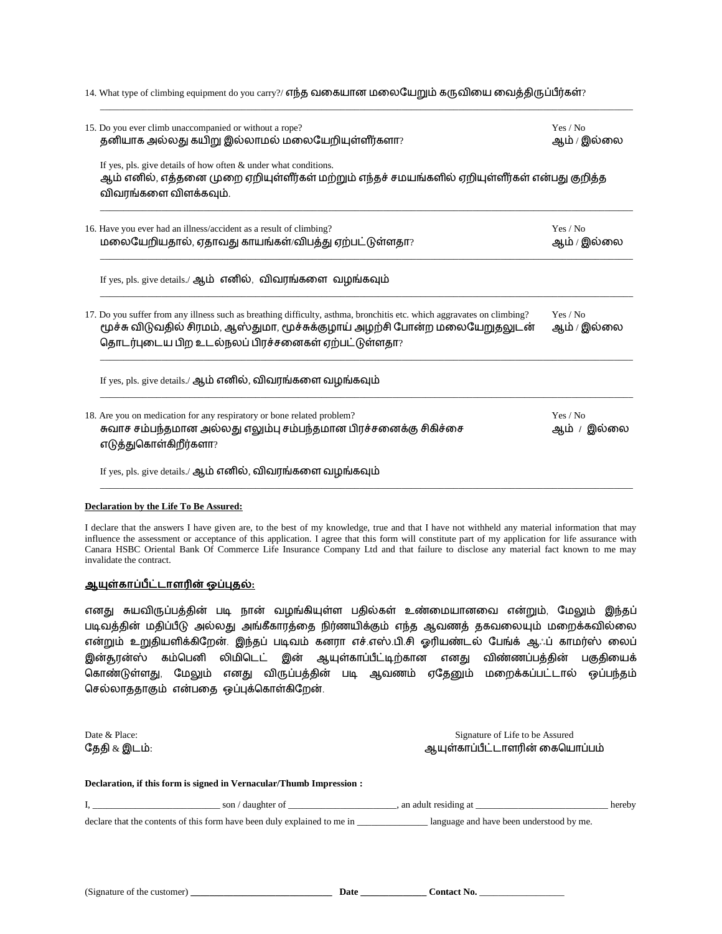| 14. What type of climbing equipment do you carry?/ எந்த வகையான மலையேறும் கருவியை வைத்திருப்பீர்கள்? |  |  |  |
|-----------------------------------------------------------------------------------------------------|--|--|--|
|-----------------------------------------------------------------------------------------------------|--|--|--|

\_\_\_\_\_\_\_\_\_\_\_\_\_\_\_\_\_\_\_\_\_\_\_\_\_\_\_\_\_\_\_\_\_\_\_\_\_\_\_\_\_\_\_\_\_\_\_\_\_\_\_\_\_\_\_\_\_\_\_\_\_\_\_\_\_\_\_\_\_\_\_\_\_\_\_\_\_\_\_\_\_\_\_\_\_\_\_\_\_\_\_\_\_\_\_\_\_\_\_\_\_\_\_\_\_\_\_\_\_\_\_\_\_

| 15. Do you ever climb unaccompanied or without a rope?<br>தனியாக அல்லது கயிறு இல்லாமல் மலையேறியுள்ளீர்களா?                                                                                                                                                  | Yes / No<br>ஆம் / இல்லை |
|-------------------------------------------------------------------------------------------------------------------------------------------------------------------------------------------------------------------------------------------------------------|-------------------------|
| If yes, pls. give details of how often & under what conditions.<br>ஆம் எனில், எத்தனை முறை ஏறியுள்ளீர்கள் மற்றும் எந்தச் சமயங்களில் ஏறியுள்ளீர்கள் என்பது குறித்த<br>விவரங்களை விளக்கவும்.                                                                   |                         |
| 16. Have you ever had an illness/accident as a result of climbing?<br>மலையேறியதால், ஏதாவது காயங்கள்/விபத்து ஏற்பட்டுள்ளதா?                                                                                                                                  | Yes / No<br>ஆம் / இல்லை |
| If yes, pls. give details./ ஆம் எனில், விவரங்களை வழங்கவும்                                                                                                                                                                                                  |                         |
| 17. Do you suffer from any illness such as breathing difficulty, asthma, bronchitis etc. which aggravates on climbing?<br>மூச்சு விடுவதில் சிரமம், ஆஸ்துமா, மூச்சுக்குழாய் அழற்சி போன்ற மலையேறுதலுடன்<br>தொடர்புடைய பிற உடல்நலப் பிரச்சனைகள் ஏற்பட்டுள்ளதா? | Yes / No<br>ஆம் / இல்லை |
| If yes, pls. give details./ ஆம் எனில், விவரங்களை வழங்கவும்                                                                                                                                                                                                  |                         |
| 18. Are you on medication for any respiratory or bone related problem?<br>சுவாச சம்பந்தமான அல்லது எலும்பு சம்பந்தமான பிரச்சனைக்கு சிகிச்சை<br>எடுத்துகொள்கிறீர்களா?                                                                                         | Yes / No<br>ஆம் / இல்லை |
| If yes, pls. give details./ ஆம் எனில், விவரங்களை வழங்கவும்                                                                                                                                                                                                  |                         |

#### **Declaration by the Life To Be Assured:**

I declare that the answers I have given are, to the best of my knowledge, true and that I have not withheld any material information that may influence the assessment or acceptance of this application. I agree that this form will constitute part of my application for life assurance with Canara HSBC Oriental Bank Of Commerce Life Insurance Company Ltd and that failure to disclose any material fact known to me may invalidate the contract.

#### <u> ஆயுள்காப்பீட்டாளரின் ஒப்புதல்:</u>

எனது சுயவிருப்பத்தின் படி நான் வழங்கியுள்ை பதில்கள் உண்ளையானளவ என்றும், மைலும் இந்தப் படிவத்தின் மதிப்பீடு அல்லது அங்கீகாரத்தை நிர்ணயிக்கும் எந்த ஆவணத் தகவலையும் மறைக்கவில்லை என்றும் உறுதியைிக்கிமைன். இந்தப் படிவம் கனரா எச்.எஸ்.பி.சி ஓரியண்டல் மபங்க் ஆஃப் காைர்ஸ் ளலப் இன்சூரன்ஸ் கம்பபனி லிைிபடட் இன் ஆயுள்காப்பீட்டிற்கான எனது விண்ணப்பத்தின் பகுதிளயக் பகாண்டுள்ைது, மைலும் எனது விருப்பத்தின் படி ஆவணம் ஏமதனும் ைளைக்கப்பட்டால் ஒப்பந்தம் செல்லாததாகும் என்பதை ஒப்புக்கொள்கிறேன்.

Date & Place: Signature of Life to be Assured தேதி & இடம்: ஆயுள்காப்பீட்டாளரின் கையொப்பம் **Declaration, if this form is signed in Vernacular/Thumb Impression :** I, \_\_\_\_\_\_\_\_\_\_\_\_\_\_\_\_\_\_\_\_\_\_\_\_\_\_\_ son / daughter of \_\_\_\_\_\_\_\_\_\_\_\_\_\_\_\_\_\_\_\_\_\_\_, an adult residing at \_\_\_\_\_\_\_\_\_\_\_\_\_\_\_\_\_\_\_\_\_\_\_\_\_\_\_\_ hereby declare that the contents of this form have been duly explained to me in \_\_\_\_\_\_\_\_\_\_\_\_\_\_\_\_\_\_\_\_\_\_\_ language and have been understood by me.